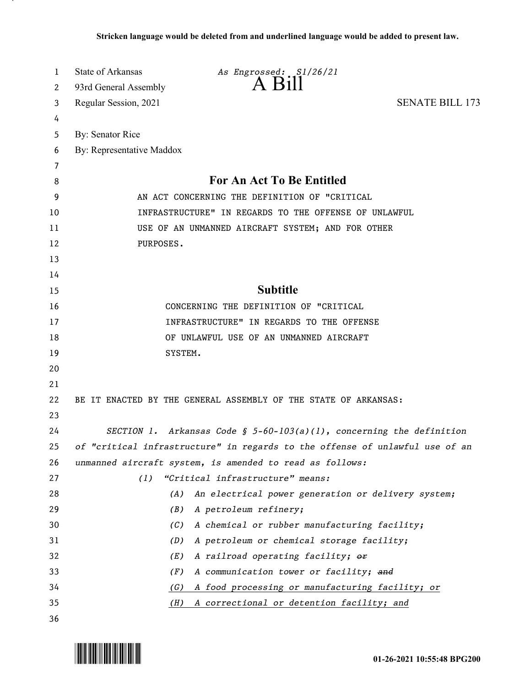| 1        | State of Arkansas                                                                                                                        | As Engrossed: S1/26/21                             |                        |
|----------|------------------------------------------------------------------------------------------------------------------------------------------|----------------------------------------------------|------------------------|
| 2        | 93rd General Assembly                                                                                                                    | A Bill                                             |                        |
| 3        | Regular Session, 2021                                                                                                                    |                                                    | <b>SENATE BILL 173</b> |
| 4        |                                                                                                                                          |                                                    |                        |
| 5        | By: Senator Rice                                                                                                                         |                                                    |                        |
| 6        | By: Representative Maddox                                                                                                                |                                                    |                        |
| 7        |                                                                                                                                          |                                                    |                        |
| 8        | <b>For An Act To Be Entitled</b>                                                                                                         |                                                    |                        |
| 9        | AN ACT CONCERNING THE DEFINITION OF "CRITICAL                                                                                            |                                                    |                        |
| 10       | INFRASTRUCTURE" IN REGARDS TO THE OFFENSE OF UNLAWFUL                                                                                    |                                                    |                        |
| 11       | USE OF AN UNMANNED AIRCRAFT SYSTEM; AND FOR OTHER                                                                                        |                                                    |                        |
| 12       | PURPOSES.                                                                                                                                |                                                    |                        |
| 13       |                                                                                                                                          |                                                    |                        |
| 14       |                                                                                                                                          |                                                    |                        |
| 15       |                                                                                                                                          | <b>Subtitle</b>                                    |                        |
| 16       |                                                                                                                                          | CONCERNING THE DEFINITION OF "CRITICAL             |                        |
| 17       |                                                                                                                                          | INFRASTRUCTURE" IN REGARDS TO THE OFFENSE          |                        |
| 18       |                                                                                                                                          | OF UNLAWFUL USE OF AN UNMANNED AIRCRAFT            |                        |
| 19       | SYSTEM.                                                                                                                                  |                                                    |                        |
| 20       |                                                                                                                                          |                                                    |                        |
| 21       |                                                                                                                                          |                                                    |                        |
| 22       | BE IT ENACTED BY THE GENERAL ASSEMBLY OF THE STATE OF ARKANSAS:                                                                          |                                                    |                        |
| 23<br>24 |                                                                                                                                          |                                                    |                        |
| 25       | SECTION 1. Arkansas Code § $5-60-103(a)(1)$ , concerning the definition                                                                  |                                                    |                        |
| 26       | of "critical infrastructure" in regards to the offense of unlawful use of an<br>unmanned aircraft system, is amended to read as follows: |                                                    |                        |
| 27       | "Critical infrastructure" means:<br>(1)                                                                                                  |                                                    |                        |
| 28       | (A)                                                                                                                                      | An electrical power generation or delivery system; |                        |
| 29       | (B)                                                                                                                                      | A petroleum refinery;                              |                        |
| 30       | (C)                                                                                                                                      | A chemical or rubber manufacturing facility;       |                        |
| 31       | (D)                                                                                                                                      | A petroleum or chemical storage facility;          |                        |
| 32       | (E)                                                                                                                                      | A railroad operating facility; or                  |                        |
| 33       | (F)                                                                                                                                      | A communication tower or facility; and             |                        |
| 34       | (G)                                                                                                                                      | A food processing or manufacturing facility; or    |                        |
| 35       | (H)                                                                                                                                      | A correctional or detention facility; and          |                        |
| 36       |                                                                                                                                          |                                                    |                        |